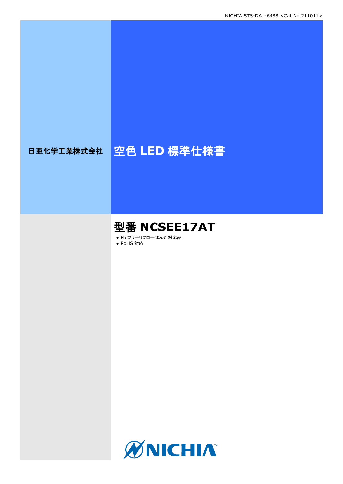# 日亜化学工業株式会社 | 空色 LED 標準仕様書

# 型番 **NCSEE17AT**

● Pb フリーリフローはんだ対応品

● RoHS 対応

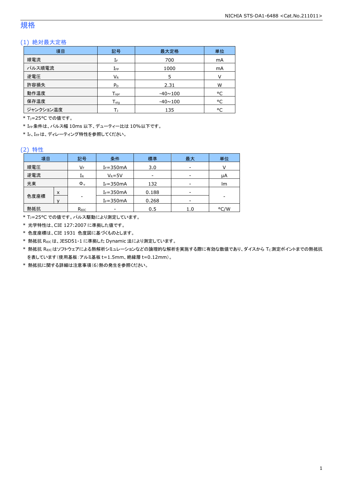### 規格

### (1) 絶対最大定格

| 項目        | 記号                 | 最大定格           | 単位     |
|-----------|--------------------|----------------|--------|
| 順電流       | IF                 | 700            | mA     |
| パルス順電流    | $I_{FP}$           | 1000           | mA     |
| 逆電圧       | $V_{R}$            | 5              | $\vee$ |
| 許容損失      | $P_D$              | 2.31           | W      |
| 動作温度      | $T_{\mathsf{opr}}$ | $-40 \sim 100$ | °C     |
| 保存温度      | $T_{\rm stq}$      | $-40 \sim 100$ | °C     |
| ジャンクション温度 |                    | 135            | °C     |

\* T<sub>1</sub>=25°C での値です。

\* IFP条件は、パルス幅 10ms 以下、デューティー比は 10%以下です。

\* IF、IFPは、ディレーティング特性を参照してください。

#### (2) 特性

| 項目   | 条件<br>標準<br>記号 |                | 最大            | 単位    |                          |      |
|------|----------------|----------------|---------------|-------|--------------------------|------|
| 順電圧  |                | VF             | $I_F = 350mA$ | 3.0   | $\overline{\phantom{a}}$ |      |
| 逆電流  |                | $1_{R}$        | $V_R = 5V$    | -     | -                        | μA   |
| 光束   |                | $\Phi_{\rm v}$ | $I_F = 350mA$ | 132   |                          | Im   |
|      | x              |                | $I_F = 350mA$ | 0.188 |                          |      |
| 色度座標 |                | -              | $I_F = 350mA$ | 0.268 | $\overline{\phantom{a}}$ |      |
| 熱抵抗  |                | Rejc           |               | 0.5   | 1.0                      | °C/W |

\* TJ=25°C での値です。パルス駆動により測定しています。

\* 光学特性は、CIE 127:2007 に準拠した値です。

\* 色度座標は、CIE 1931 色度図に基づくものとします。

\* 熱抵抗 RθJCは、JESD51-1 に準拠した Dynamic 法により測定しています。

\* 熱抵抗 RθJCはソフトウェアによる熱解析シミュレーションなどの論理的な解析を実施する際に有効な数値であり、ダイスから TC測定ポイントまでの熱抵抗 を表しています(使用基板:アルミ基板 t=1.5mm、絶縁層 t=0.12mm)。

\* 熱抵抗に関する詳細は注意事項(6)熱の発生を参照ください。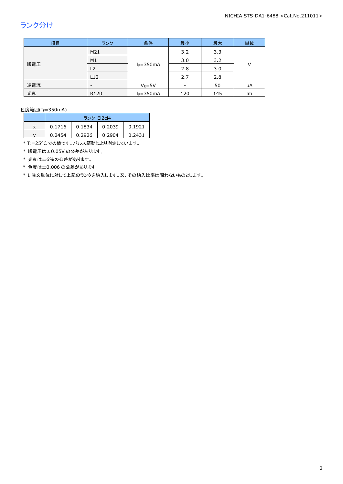### ランク分け

| 項目  | ランク                      | 条件            | 最小  | 最大  | 単位  |   |
|-----|--------------------------|---------------|-----|-----|-----|---|
| 順電圧 | M21                      |               | 3.2 | 3.3 |     |   |
|     | M1                       | $I_F = 350mA$ | 3.0 | 3.2 |     |   |
|     | L <sub>2</sub>           |               |     | 2.8 | 3.0 | V |
|     | L12                      |               | 2.7 | 2.8 |     |   |
| 逆電流 | $\overline{\phantom{0}}$ | $V_R = 5V$    |     | 50  | μA  |   |
| 光束  | R120                     | $I_F = 350mA$ | 120 | 145 | Im  |   |

色度範囲(IF=350mA)

|   | ランク Ei2ci4 |        |        |        |
|---|------------|--------|--------|--------|
| x | 0.1716     | 0.1834 | 0.2039 | 0.1921 |
|   | 0.2454     | 0.2926 | 0.2904 | 0.2431 |

\* TJ=25°C での値です。パルス駆動により測定しています。

\* 順電圧は±0.05V の公差があります。

\* 光束は±6%の公差があります。

\* 色度は±0.006 の公差があります。

\* 1 注文単位に対して上記のランクを納入します。又、その納入比率は問わないものとします。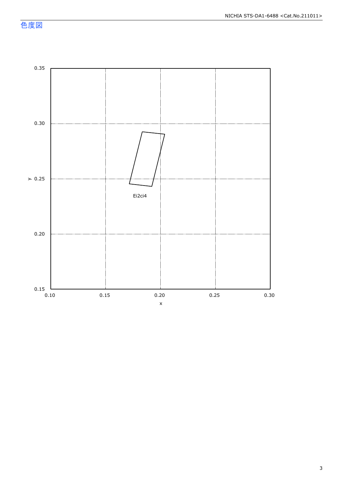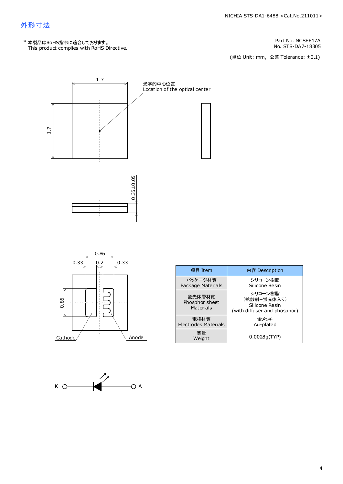### 外形寸法

Part No. NCSEE17A

No. STS-DA7-18305<br>(単位 Unit: mm,公差 Tolerance: ±0.1)





| 項目 Item                               | 内容 Description                                                           |
|---------------------------------------|--------------------------------------------------------------------------|
| パッケージ材質<br>Package Materials          | シリコーン樹脂<br>Silicone Resin                                                |
| 蛍光体層材質<br>Phosphor sheet<br>Materials | シリコーン樹脂<br>(拡散剤+蛍光体入り)<br>Silicone Resin<br>(with diffuser and phosphor) |
| 電極材質<br><b>Electrodes Materials</b>   | 金メッキ<br>Au-plated                                                        |
| 質量<br>Weight                          | 0.0028q(TYP)                                                             |

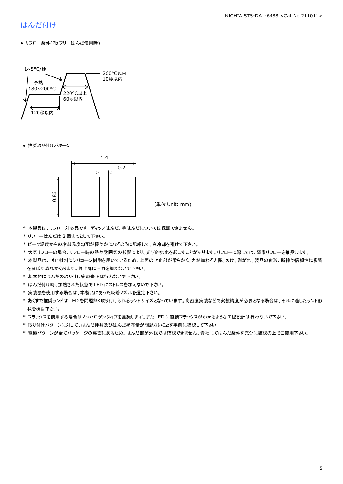#### NICHIA STS-DA1-6488 <Cat.No.211011>

### はんだ付け

● リフロー条件(Pb フリーはんだ使用時)



● 推奨取り付けパターン



(単位 Unit: mm)

- \* 本製品は、リフロー対応品です。ディップはんだ、手はんだについては保証できません。
- \* リフローはんだは 2 回までとして下さい。
- \* ピーク温度からの冷却温度勾配が緩やかになるように配慮して、急冷却を避けて下さい。
- \* 大気リフローの場合、リフロー時の熱や雰囲気の影響により、光学的劣化を起こすことがあります。リフローに際しては、窒素リフローを推奨します。
- \* 本製品は、封止材料にシリコーン樹脂を用いているため、上面の封止部が柔らかく、力が加わると傷、欠け、剥がれ、製品の変形、断線や信頼性に影響 を及ぼす恐れがあります。封止部に圧力を加えないで下さい。
- \* 基本的にはんだの取り付け後の修正は行わないで下さい。
- \* はんだ付け時、加熱された状態で LED にストレスを加えないで下さい。
- \* 実装機を使用する場合は、本製品にあった吸着ノズルを選定下さい。
- \* あくまで推奨ランドは LED を問題無く取り付けられるランドサイズとなっています。高密度実装などで実装精度が必要となる場合は、それに適したランド形 状を検討下さい。
- \* フラックスを使用する場合はノンハロゲンタイプを推奨します。また LED に直接フラックスがかかるような工程設計は行わないで下さい。
- \* 取り付けパターンに対して、はんだ種類及びはんだ塗布量が問題ないことを事前に確認して下さい。
- \* 電極パターンが全てパッケージの裏面にあるため、はんだ部が外観では確認できません。貴社にてはんだ条件を充分に確認の上でご使用下さい。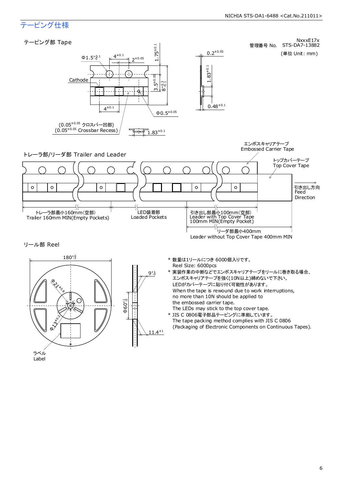### テーピング仕様

ラベル Label

#### NxxxE17x テーピング部 Tape 1.75±0.1 管理番号 No. STS-DA7-13882  $0.2^{\pm 0.05}$ (単位 Unit: mm)  $4^{\pm0.1}$  $\Phi$ 1.5<sup>+8.1</sup>  $2^{\pm 0.05}$ 0.48±0.1 1.83±0.1  $3.5^{+0.05}$ Cathode  $2+0.3$ Ġ J.  $4^{\pm0.1}$  $Φ0.5<sup>±0.05</sup>$ (0.05<sup>±0.05</sup> クロスバー凹部)  $(0.05<sup>\pm0.05</sup>$  Crossbar Recess) म्ह  $\overline{1.83}^{\pm 0.1}$ エンボスキャリアテープ Embossed Carrier Tape トレーラ部/リーダ部 Trailer and Leader トップカバーテープ Top Cover Tape  $\circ$  $\circ$  $\circ$  $\circ$  $\circ$ 引き出し方向 **Feed** Direction ζŚ LED装着部<br>Loaded Pockets トレーラ部最小160mm(空部) 引き出し部最小100mm(空部) Leader with Top Cover Tape 100mm MIN(Empty Pocket) Trailer 160mm MIN(Empty Pockets) べ <sup>′</sup>リーダ部最小400mm Leader without Top Cover Tape 400mm MIN リール部 Reel  $180+9$  $9^{+1}_{-0}$ \* 数量は1リールにつき 6000個入りです。 Reel Size: 6000pcs \* 実装作業の中断などでエンボスキャリアテープをリールに巻き取る場合、 エンボスキャリアテープを強く(10N以上)締めないで下さい。 LEDがカバーテープに貼り付く可能性があります。 When the tape is rewound due to work interruptions, no more than 10N should be applied to  $\Phi$ 60 $^{+1}_{-0}$ the embossed carrier tape. The LEDs may stick to the top cover tape. \* JIS C 0806電子部品テーピングに準拠しています。 **Q** 3200 The tape packing method complies with JIS C 0806 (Packaging of Electronic Components on Continuous Tapes). $11.4^{\pm 1}$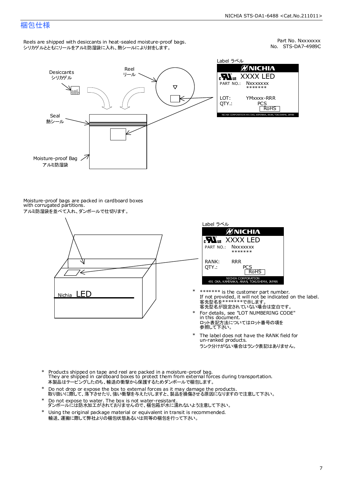### 梱包仕様

Reels are shipped with desiccants in heat-sealed moisture-proof bags. シリカゲルとともにリールをアルミ防湿袋に入れ、熱シールにより封をします。

No. STS-DA7-4989C Part No. Nxxxxxxx



Label ラベル **ØNICHIA EN**<sub>us</sub> XXXX LED PART NO.: **Nxxxxxxx** \*\*\*\*\*\*\* YMxxxx-RRR PCS<br>RoHS INAKA, ANAN, TOKUSHIMA, JA

Moisture-proof bags are packed in cardboard boxes with corrugated partitions. アルミ防湿袋を並べて入れ、ダンボールで仕切ります。



| Label ラベル                                                       |
|-----------------------------------------------------------------|
| <b>ØNICHIA</b>                                                  |
| <b>Nus XXXX LED</b>                                             |
| PART NO.: NXXXXXXX<br>*******                                   |
| RANK:<br>RR R<br>OTY.:<br>PCS<br><b>RoHS</b>                    |
| NICHIA CORPORATION<br>491 OKA, KAMINAKA, ANAN, TOKUSHIMA, JAPAN |

- 客先型名を\*\*\*\*\*\*\*\*で示します。<br>客先型名が設定されていない場合は空白です。 If not provided, it will not be indicated on the label. \*\*\*\*\*\*\* is the customer part number.
- For details, see "LOT NUMBERING CODE" in this document. ロット表記方法についてはロット番号の項を<br>参照して下さい。 \*
- The label does not have the RANK field for un-ranked products. ランク分けがない場合はランク表記はありません。 \*
- Products shipped on tape and reel are packed in a moisture-proof bag. They are shipped in cardboard boxes to protect them from external forces during transportation. 本製品はテーピングしたのち、輸送の衝撃から保護するためダンボールで梱包します。 \*
- Do not drop or expose the box to external forces as it may damage the products. 取り扱いに際して、落下させたり、強い衝撃を与えたりしますと、製品を損傷させる原因になりますので注意して下さい。 \*
- Do not expose to water. The box is not water-resistant. ダンボールには防水加工がされておりませんので、梱包箱が水に濡れないよう注意して下さい。 \*
- \* Using the original package material or equivalent in transit is recommended. 輸送、運搬に際して弊社よりの梱包状態あるいは同等の梱包を行って下さい。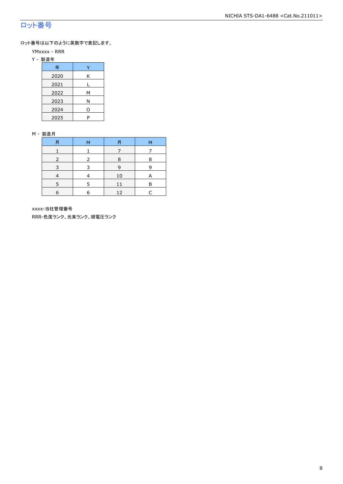### ロット番号

ロット番号は以下のように英数字で表記します。

- YMxxxx RRR
- Y 製造年

| 年    |   |
|------|---|
| 2020 | Κ |
| 2021 |   |
| 2022 | м |
| 2023 | Ν |
| 2024 | ი |
| 2025 | P |

#### M - 製造月

| 月 | м             | 月  | M |
|---|---------------|----|---|
|   |               |    |   |
|   | $\mathcal{P}$ | 8  | 8 |
|   |               | 9  | 9 |
|   |               | 10 | A |
|   |               |    | F |
| 6 | 6             | 12 |   |

xxxx-当社管理番号

RRR-色度ランク、光束ランク、順電圧ランク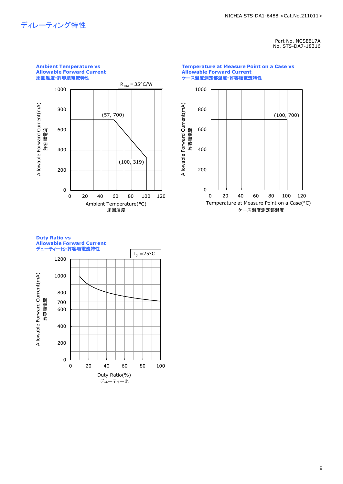## ディレーティング特性

#### Part No. NCSEE17A No. STS-DA7-18316



#### **Temperature at Measure Point on a Case vs Allowable Forward Current** ケース温度測定部温度**-**許容順電流特性



#### **Duty Ratio vs Allowable Forward Current** デューティー比**-**許容順電流特性

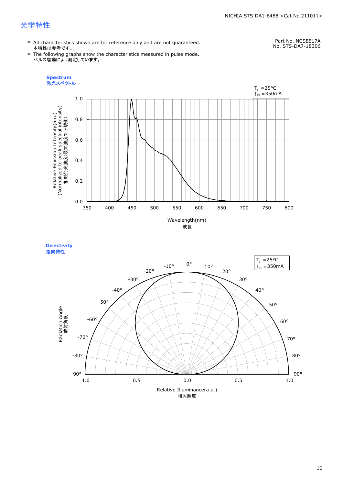#### NICHIA STS-DA1-6488 <Cat.No.211011>

### 光学特性

\* All characteristics shown are for reference only and are not guaranteed. 本特性は参考です。

Part No. NCSEE17A No. STS-DA7-18306

\* The following graphs show the characteristics measured in pulse mode. パルス駆動により測定しています。





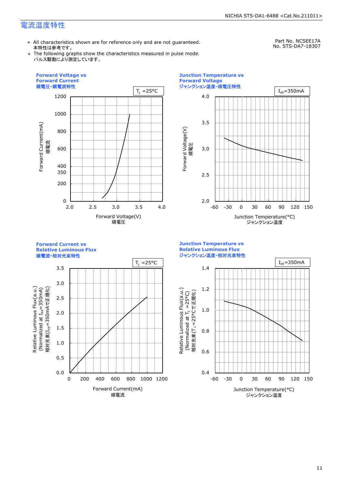### 電流温度特性

\* All characteristics shown are for reference only and are not guaranteed. 本特性は参考です。

Part No. NCSEE17A No. STS-DA7-18307

\* The following graphs show the characteristics measured in pulse mode. パルス駆動により測定しています。





**Forward Current vs Relative Luminous Flux**

順電流**-**相対光束特性



**Junction Temperature vs Relative Luminous Flux** ジャンクション温度**-**相対光束特性

Relative Luminous Flux(a.u.)

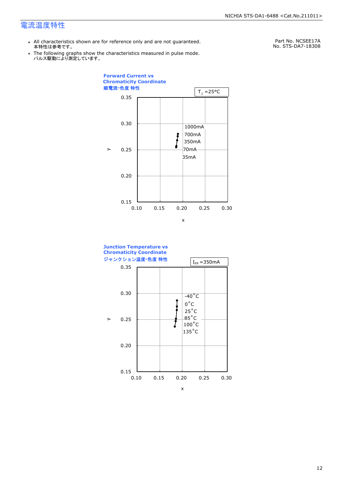### 電流温度特性

- \* All characteristics shown are for reference only and are not guaranteed. 本特性は参考です。
- \* Ine following graphs show th<br>、パルス駆動により測定しています。 The following graphs show the characteristics measured in pulse mode.

Part No. NCSEE17A No. STS-DA7-18308



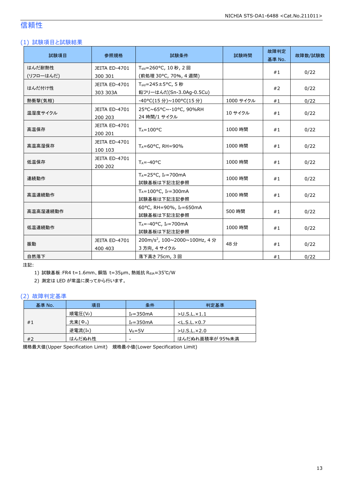### 信頼性

### (1) 試験項目と試験結果

| 試験項目                | 参照規格                            | 試験条件                                                                  | 試験時間      | 故障判定<br>基準 No. | 故障数/試験数 |
|---------------------|---------------------------------|-----------------------------------------------------------------------|-----------|----------------|---------|
| はんだ耐熱性<br>(リフローはんだ) | JEITA ED-4701<br>300 301        | T <sub>sld</sub> =260°C, 10秒, 2回<br>(前処理 30°C, 70%, 4 週間)             |           | #1             | 0/22    |
| はんだ付け性              | JEITA ED-4701<br>303 303A       | $T_{\text{std}} = 245 \pm 5^{\circ}$ C, 5秒<br>鉛フリーはんだ(Sn-3.0Ag-0.5Cu) |           | #2             | 0/22    |
| 熱衝撃(気相)             |                                 | -40°C(15分)~100°C(15分)                                                 | 1000 サイクル | #1             | 0/22    |
| 温湿度サイクル             | JEITA ED-4701<br>200 203        | 25°C~65°C~-10°C, 90%RH<br>24 時間/1 サイクル                                | 10 サイクル   | #1             | 0/22    |
| 高温保存                | JEITA ED-4701<br>200 201        | $T_A = 100$ °C                                                        | 1000 時間   | #1             | 0/22    |
| 高温高湿保存              | <b>JEITA ED-4701</b><br>100 103 | $T_A = 60^{\circ}$ C, RH = 90%                                        | 1000 時間   | #1             | 0/22    |
| 低温保存                | JEITA ED-4701<br>200 202        | $T_A = -40$ °C                                                        | 1000 時間   | #1             | 0/22    |
| 連続動作                |                                 | $T_A = 25$ °C, I <sub>F</sub> =700mA<br>試験基板は下記注記参照                   | 1000 時間   | #1             | 0/22    |
| 高温連続動作              |                                 | $T_A = 100^{\circ}C$ , I <sub>F</sub> =300mA<br>試験基板は下記注記参照           | 1000 時間   | #1             | 0/22    |
| 高温高湿連続動作            |                                 | 60°C, RH=90%, IF=650mA<br>試験基板は下記注記参照                                 | 500 時間    | #1             | 0/22    |
| 低温連続動作              |                                 | $T_A = -40$ °C, I <sub>F</sub> =700mA<br>試験基板は下記注記参照                  | 1000 時間   | #1             | 0/22    |
| 振動                  | JEITA ED-4701<br>400 403        | 200m/s <sup>2</sup> , 100~2000~100Hz, 4分<br>3 方向, 4 サイクル              | 48分       | #1             | 0/22    |
| 自然落下                |                                 | 落下高さ 75cm, 3回                                                         |           | #1             | 0/22    |

注記:

1) 試験基板:FR4 t=1.6mm、銅箔 t=35μm、熱抵抗 RθJA≈35℃/W

2) 測定は LED が常温に戻ってから行います。

#### (2) 故障判定基準

| 基準 No. | 項目                | 条件            | 判定基準                    |
|--------|-------------------|---------------|-------------------------|
|        | 順電圧(VF)           | $I_F = 350mA$ | $>$ U.S.L. $\times$ 1.1 |
| #1     | 光束( $\Phi_{v}$ )  | $I_F = 350mA$ | $<$ L.S.L. $\times$ 0.7 |
|        | 逆電流 $(L_{\rm R})$ | $V_R = 5V$    | $>$ U.S.L $\times$ 2.0  |
| #2     | はんだぬれ性            | -             | はんだぬれ面積率が 95%未満         |

規格最大値(Upper Specification Limit) 規格最小値(Lower Specification Limit)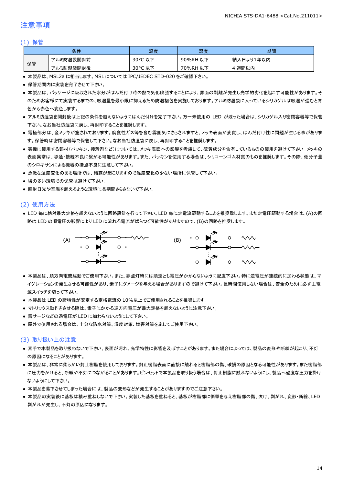### 注意事項

#### (1) 保管

|    | 条件        | 温度                    | 湿度       | 期間        |
|----|-----------|-----------------------|----------|-----------|
|    | アルミ防湿袋開封前 | $30^{\circ}$ C<br>こ以下 | 90%RH 以下 | 納入日より1年以内 |
| 保管 | アルミ防湿袋開封後 | 30°C<br>,以下<br>֊      | 70%RH 以下 | 週間以内      |

● 本製品は、MSL2a に相当します。MSL については IPC/JEDEC STD-020 をご確認下さい。

- 保管期間内に実装を完了させて下さい。
- 本製品は、パッケージに吸収された水分がはんだ付け時の熱で気化膨張することにより、界面の剥離が発生し光学的劣化を起こす可能性があります。そ のためお客様にて実装するまでの、吸湿量を最小限に抑えるため防湿梱包を実施しております。アルミ防湿袋に入っているシリカゲルは吸湿が進むと青 色から赤色へ変色します。
- アルミ防湿袋を開封後は上記の条件を越えないようにはんだ付けを完了下さい。万一未使用の LED が残った場合は、シリカゲル入り密閉容器等で保管 下さい。なお当社防湿袋に戻し、再封印することを推奨します。
- 電極部分は、金メッキが施されております。腐食性ガス等を含む雰囲気にさらされますと、メッキ表面が変質し、はんだ付け性に問題が生じる事がありま す。保管時は密閉容器等で保管して下さい。なお当社防湿袋に戻し、再封印することを推奨します。
- 実機に使用する部材(パッキン、接着剤など)については、メッキ表面への影響を考慮して、硫黄成分を含有しているものの使用を避けて下さい。メッキの 表面異常は、導通・接続不良に繋がる可能性があります。また、パッキンを使用する場合は、シリコーンゴム材質のものを推奨します。その際、低分子量 のシロキサンによる機器の接点不良に注意して下さい。
- 急激な温度変化のある場所では、結露が起こりますので温度変化の少ない場所に保管して下さい。
- 埃の多い環境での保管は避けて下さい。
- 直射日光や室温を超えるような環境に長期間さらさないで下さい。

#### (2) 使用方法

● LED 毎に絶対最大定格を超えないように回路設計を行って下さい。LED 毎に定電流駆動することを推奨致します。また定電圧駆動する場合は、(A)の回 路は LED の順電圧の影響により LED に流れる電流がばらつく可能性がありますので、(B)の回路を推奨します。



- 本製品は、順方向電流駆動でご使用下さい。また、非点灯時には順逆とも電圧がかからないように配慮下さい。特に逆電圧が連続的に加わる状態は、マ イグレーションを発生させる可能性があり、素子にダメージを与える場合がありますので避けて下さい。長時間使用しない場合は、安全のために必ず主電 源スイッチを切って下さい。
- 本製品は LED の諸特性が安定する定格電流の 10%以上でご使用されることを推奨します。
- マトリックス動作をさせる際は、素子にかかる逆方向電圧が最大定格を超えないように注意下さい。
- 雷サージなどの過電圧が LED に加わらないようにして下さい。
- 屋外で使用される場合は、十分な防水対策、湿度対策、塩害対策を施してご使用下さい。

#### (3) 取り扱い上の注意

- 素手で本製品を取り扱わないで下さい。表面が汚れ、光学特性に影響を及ぼすことがあります。また場合によっては、製品の変形や断線が起こり、不灯 の原因になることがあります。
- 本製品は、非常に柔らかい封止樹脂を使用しております。封止樹脂表面に直接に触れると樹脂部の傷、破損の原因となる可能性があります。また樹脂部 に圧力をかけると、断線や不灯につながることがあります。ピンセットで本製品を取り扱う場合は、封止樹脂に触れないようにし、製品へ過度な圧力を掛け ないようにして下さい。
- 本製品を落下させてしまった場合には、製品の変形などが発生することがありますのでご注意下さい。
- 本製品の実装後に基板は積み重ねしないで下さい。実装した基板を重ねると、基板が樹脂部に衝撃を与え樹脂部の傷、欠け、剥がれ、変形・断線、LED 剥がれが発生し、不灯の原因になります。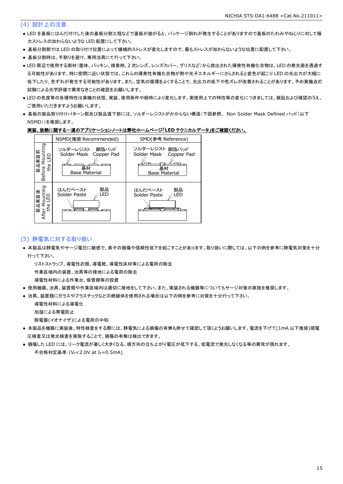#### (4) 設計上の注意

- LED を基板にはんだ付けした後の基板分割工程などで基板が曲がると、パッケージ割れが発生することがありますので基板のたわみやねじりに対して極 力ストレスの加わらないような LED 配置にして下さい。
- 基板分割部では LED の取り付け位置によって機械的ストレスが変化しますので、最もストレスが加わらないような位置に配置して下さい。
- 基板分割時は、手割りを避け、専用治具にて行って下さい。
- LED 周辺で使用する部材(筐体、パッキン、接着剤、2 次レンズ、レンズカバー、グリスなど)から放出された揮発性有機化合物は、LED の発光面を透過す る可能性があります。特に密閉に近い状態では、これらの揮発性有機化合物が熱や光子エネルギーにさらされると変色が起こり LED の光出力が大幅に 低下したり、色ずれが発生する可能性があります。また、空気の循環をよくすることで、光出力の低下や色ズレが改善されることがあります。予め実機点灯 試験による光学評価で異常なきことの確認をお願いします。
- LED の色度等の各種特性は実機の状態、実装、使用条件や経時により変化します。実使用上での特性等の変化につきましては、検証および確認のうえ、 ご使用いただきますようお願いします。
- 基板の製品取り付けパターン部及び製品直下部には、ソルダーレジストがかからない構造(下図参照、 Non Solder Mask Defined パッド(以下 NSMD))を推奨します。

#### 実装、放熱に関する一連のアプリケーションノートは弊社ホームページ「**LED** テクニカルデータ」をご確認ください。



#### (5) 静電気に対する取り扱い

● 本製品は静電気やサージ電圧に敏感で、素子の損傷や信頼性低下を起こすことがあります。取り扱いに際しては、以下の例を参考に静電気対策を十分 行って下さい。

リストストラップ、導電性衣類、導電靴、導電性床材等による電荷の除去

作業区域内の装置、治具等の接地による電荷の除去

導電性材料による作業台、保管棚等の設置

- 使用機器、治具、装置類や作業区域内は適切に接地をして下さい。また、実装される機器等についてもサージ対策の実施を推奨します。
- 治具、装置類にガラスやプラスチックなどの絶縁体を使用される場合は以下の例を参考に対策を十分行って下さい。

導電性材料による導電化

加湿による帯電防止

除電器(イオナイザ)による電荷の中和

- 本製品を機器に実装後、特性検査をする際には、静電気による損傷の有無も併せて確認して頂くようお願いします。電流を下げて(1mA 以下推奨)順電 圧検査又は発光検査を実施することで、損傷の有無は検出できます。
- 損傷した LED には、リーク電流が著しく大きくなる、順方向の立ち上がり電圧が低下する、低電流で発光しなくなる等の異常が現れます。 不合格判定基準: (VF<2.0V at IF=0.5mA)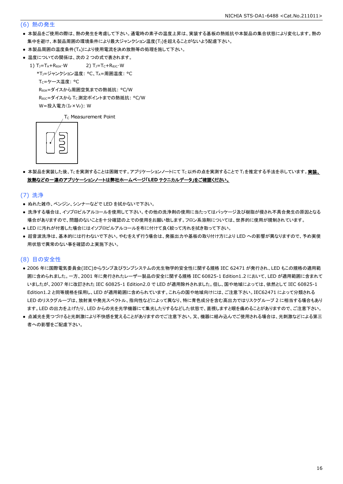#### (6) 熱の発生

- 本製品をご使用の際は、熱の発生を考慮して下さい。通電時の素子の温度上昇は、実装する基板の熱抵抗や本製品の集合状態により変化します。熱の 集中を避け、本製品周囲の環境条件により最大ジャンクション温度(Tj)を超えることがないよう配慮下さい。
- 本製品周囲の温度条件(TA)により使用電流を決め放熱等の処理を施して下さい。
- 温度についての関係は、次の2つの式で表されます。
	- 1)  $T_J = T_A + R_{\theta JA} \cdot W$  2)  $T_J = T_C + R_{\theta JC} \cdot W$ 
		- \*TJ=ジャンクション温度: °C、TA=周囲温度: °C

T<sub>C</sub>=ケース温度: °C

RθJA=ダイスから周囲空気までの熱抵抗: °C/W

ReJc=ダイスから Tc 測定ポイントまでの熱抵抗: °C/W

 $W = \frac{1}{2} \lambda \frac{1}{2} \sum_{r=1}^{n} (I_{F} \times V_{F})$ : W

T<sub>C</sub> Measurement Point



● 本製品を実装した後、Tcを実測することは困難です。アプリケーションノートにて Tc以外の点を実測することで T」を推定する手法を示しています。実装、 放熱などの一連のアプリケーションノートは弊社ホームページ「**LED** テクニカルデータ」をご確認ください。

(7) 洗浄

- ぬれた雑巾、ベンジン、シンナーなどで LED を拭かないで下さい。
- 洗浄する場合は、イソプロピルアルコールを使用して下さい。その他の洗浄剤の使用に当たってはパッケージ及び樹脂が侵され不具合発生の原因となる 場合がありますので、問題のないことを十分確認の上での使用をお願い致します。フロン系溶剤については、世界的に使用が規制されています。
- LED に汚れが付着した場合にはイソプロピルアルコールを布に付けて良く絞って汚れを拭き取って下さい。
- 超音波洗浄は、基本的には行わないで下さい。やむをえず行う場合は、発振出力や基板の取り付け方により LED への影響が異なりますので、予め実使 用状態で異常のない事を確認の上実施下さい。

#### (8) 目の安全性

- 2006 年に国際電気委員会(IEC)からランプ及びランプシステムの光生物学的安全性に関する規格 IEC 62471 が発行され、LED もこの規格の適用範 囲に含められました。一方、2001 年に発行されたレーザー製品の安全に関する規格 IEC 60825-1 Edition1.2 において、LED が適用範囲に含まれて いましたが、2007 年に改訂された IEC 60825-1 Edition2.0 で LED が適用除外されました。但し、国や地域によっては、依然として IEC 60825-1 Edition1.2 と同等規格を採用し、LED が適用範囲に含められています。これらの国や地域向けには、ご注意下さい。IEC62471 によって分類される LED のリスクグループは、放射束や発光スペクトル、指向性などによって異なり、特に青色成分を含む高出力ではリスクグループ 2 に相当する場合もあり ます。LED の出力を上げたり、LED からの光を光学機器にて集光したりするなどした状態で、直視しますと眼を痛めることがありますので、ご注意下さい。
- 点滅光を見つづけると光刺激により不快感を覚えることがありますのでご注意下さい。又、機器に組み込んでご使用される場合は、光刺激などによる第三 者への影響をご配慮下さい。